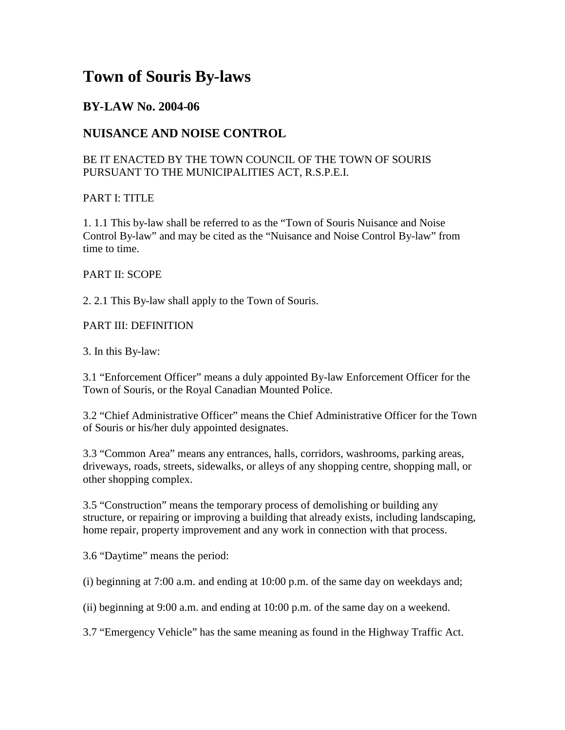# **Town of Souris By-laws**

## **BY-LAW No. 2004-06**

# **NUISANCE AND NOISE CONTROL**

## BE IT ENACTED BY THE TOWN COUNCIL OF THE TOWN OF SOURIS PURSUANT TO THE MUNICIPALITIES ACT, R.S.P.E.I.

## PART I: TITLE

1. 1.1 This by-law shall be referred to as the "Town of Souris Nuisance and Noise Control By-law" and may be cited as the "Nuisance and Noise Control By-law" from time to time.

## PART II: SCOPE

2. 2.1 This By-law shall apply to the Town of Souris.

## PART III: DEFINITION

3. In this By-law:

3.1 "Enforcement Officer" means a duly appointed By-law Enforcement Officer for the Town of Souris, or the Royal Canadian Mounted Police.

3.2 "Chief Administrative Officer" means the Chief Administrative Officer for the Town of Souris or his/her duly appointed designates.

3.3 "Common Area" means any entrances, halls, corridors, washrooms, parking areas, driveways, roads, streets, sidewalks, or alleys of any shopping centre, shopping mall, or other shopping complex.

3.5 "Construction" means the temporary process of demolishing or building any structure, or repairing or improving a building that already exists, including landscaping, home repair, property improvement and any work in connection with that process.

3.6 "Daytime" means the period:

(i) beginning at 7:00 a.m. and ending at 10:00 p.m. of the same day on weekdays and;

(ii) beginning at 9:00 a.m. and ending at 10:00 p.m. of the same day on a weekend.

3.7 "Emergency Vehicle" has the same meaning as found in the Highway Traffic Act.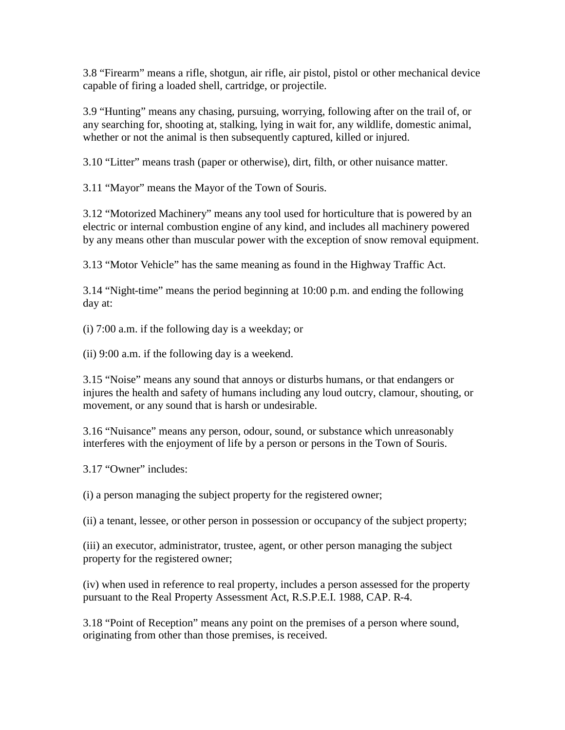3.8 "Firearm" means a rifle, shotgun, air rifle, air pistol, pistol or other mechanical device capable of firing a loaded shell, cartridge, or projectile.

3.9 "Hunting" means any chasing, pursuing, worrying, following after on the trail of, or any searching for, shooting at, stalking, lying in wait for, any wildlife, domestic animal, whether or not the animal is then subsequently captured, killed or injured.

3.10 "Litter" means trash (paper or otherwise), dirt, filth, or other nuisance matter.

3.11 "Mayor" means the Mayor of the Town of Souris.

3.12 "Motorized Machinery" means any tool used for horticulture that is powered by an electric or internal combustion engine of any kind, and includes all machinery powered by any means other than muscular power with the exception of snow removal equipment.

3.13 "Motor Vehicle" has the same meaning as found in the Highway Traffic Act.

3.14 "Night-time" means the period beginning at 10:00 p.m. and ending the following day at:

(i) 7:00 a.m. if the following day is a weekday; or

(ii) 9:00 a.m. if the following day is a weekend.

3.15 "Noise" means any sound that annoys or disturbs humans, or that endangers or injures the health and safety of humans including any loud outcry, clamour, shouting, or movement, or any sound that is harsh or undesirable.

3.16 "Nuisance" means any person, odour, sound, or substance which unreasonably interferes with the enjoyment of life by a person or persons in the Town of Souris.

3.17 "Owner" includes:

(i) a person managing the subject property for the registered owner;

(ii) a tenant, lessee, or other person in possession or occupancy of the subject property;

(iii) an executor, administrator, trustee, agent, or other person managing the subject property for the registered owner;

(iv) when used in reference to real property, includes a person assessed for the property pursuant to the Real Property Assessment Act, R.S.P.E.I. 1988, CAP. R-4.

3.18 "Point of Reception" means any point on the premises of a person where sound, originating from other than those premises, is received.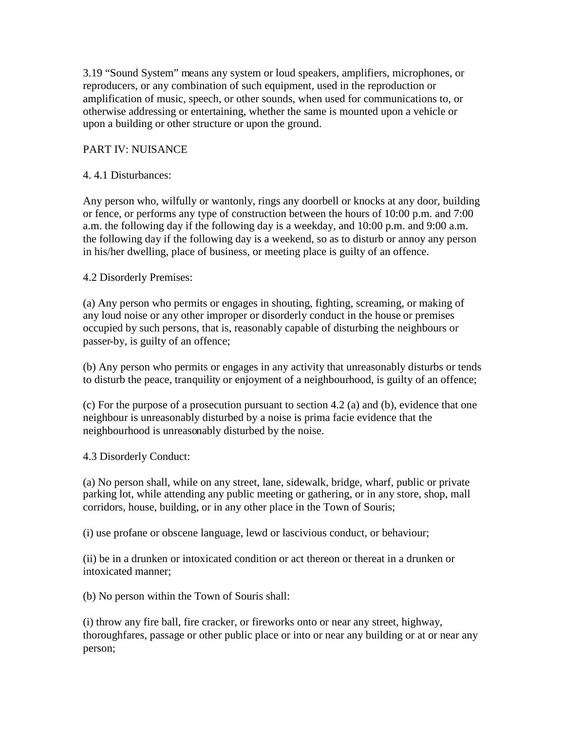3.19 "Sound System" means any system or loud speakers, amplifiers, microphones, or reproducers, or any combination of such equipment, used in the reproduction or amplification of music, speech, or other sounds, when used for communications to, or otherwise addressing or entertaining, whether the same is mounted upon a vehicle or upon a building or other structure or upon the ground.

#### PART IV: NUISANCE

#### 4. 4.1 Disturbances:

Any person who, wilfully or wantonly, rings any doorbell or knocks at any door, building or fence, or performs any type of construction between the hours of 10:00 p.m. and 7:00 a.m. the following day if the following day is a weekday, and 10:00 p.m. and 9:00 a.m. the following day if the following day is a weekend, so as to disturb or annoy any person in his/her dwelling, place of business, or meeting place is guilty of an offence.

#### 4.2 Disorderly Premises:

(a) Any person who permits or engages in shouting, fighting, screaming, or making of any loud noise or any other improper or disorderly conduct in the house or premises occupied by such persons, that is, reasonably capable of disturbing the neighbours or passer-by, is guilty of an offence;

(b) Any person who permits or engages in any activity that unreasonably disturbs or tends to disturb the peace, tranquility or enjoyment of a neighbourhood, is guilty of an offence;

(c) For the purpose of a prosecution pursuant to section 4.2 (a) and (b), evidence that one neighbour is unreasonably disturbed by a noise is prima facie evidence that the neighbourhood is unreasonably disturbed by the noise.

4.3 Disorderly Conduct:

(a) No person shall, while on any street, lane, sidewalk, bridge, wharf, public or private parking lot, while attending any public meeting or gathering, or in any store, shop, mall corridors, house, building, or in any other place in the Town of Souris;

(i) use profane or obscene language, lewd or lascivious conduct, or behaviour;

(ii) be in a drunken or intoxicated condition or act thereon or thereat in a drunken or intoxicated manner;

(b) No person within the Town of Souris shall:

(i) throw any fire ball, fire cracker, or fireworks onto or near any street, highway, thoroughfares, passage or other public place or into or near any building or at or near any person;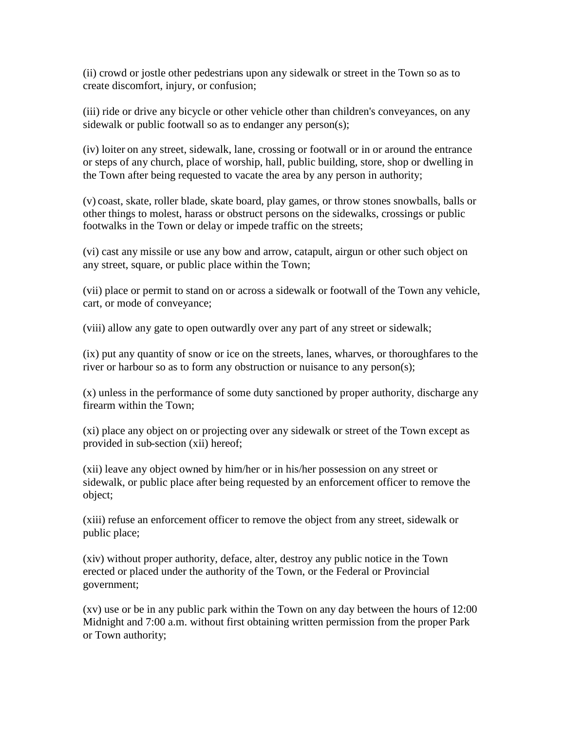(ii) crowd or jostle other pedestrians upon any sidewalk or street in the Town so as to create discomfort, injury, or confusion;

(iii) ride or drive any bicycle or other vehicle other than children's conveyances, on any sidewalk or public footwall so as to endanger any person(s);

(iv) loiter on any street, sidewalk, lane, crossing or footwall or in or around the entrance or steps of any church, place of worship, hall, public building, store, shop or dwelling in the Town after being requested to vacate the area by any person in authority;

(v) coast, skate, roller blade, skate board, play games, or throw stones snowballs, balls or other things to molest, harass or obstruct persons on the sidewalks, crossings or public footwalks in the Town or delay or impede traffic on the streets;

(vi) cast any missile or use any bow and arrow, catapult, airgun or other such object on any street, square, or public place within the Town;

(vii) place or permit to stand on or across a sidewalk or footwall of the Town any vehicle, cart, or mode of conveyance;

(viii) allow any gate to open outwardly over any part of any street or sidewalk;

(ix) put any quantity of snow or ice on the streets, lanes, wharves, or thoroughfares to the river or harbour so as to form any obstruction or nuisance to any person(s);

(x) unless in the performance of some duty sanctioned by proper authority, discharge any firearm within the Town;

(xi) place any object on or projecting over any sidewalk or street of the Town except as provided in sub-section (xii) hereof;

(xii) leave any object owned by him/her or in his/her possession on any street or sidewalk, or public place after being requested by an enforcement officer to remove the object;

(xiii) refuse an enforcement officer to remove the object from any street, sidewalk or public place;

(xiv) without proper authority, deface, alter, destroy any public notice in the Town erected or placed under the authority of the Town, or the Federal or Provincial government;

(xv) use or be in any public park within the Town on any day between the hours of 12:00 Midnight and 7:00 a.m. without first obtaining written permission from the proper Park or Town authority;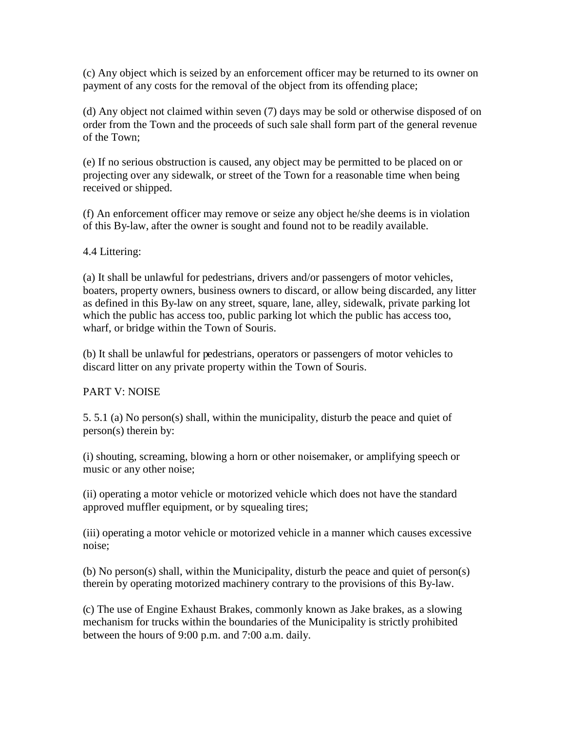(c) Any object which is seized by an enforcement officer may be returned to its owner on payment of any costs for the removal of the object from its offending place;

(d) Any object not claimed within seven (7) days may be sold or otherwise disposed of on order from the Town and the proceeds of such sale shall form part of the general revenue of the Town;

(e) If no serious obstruction is caused, any object may be permitted to be placed on or projecting over any sidewalk, or street of the Town for a reasonable time when being received or shipped.

(f) An enforcement officer may remove or seize any object he/she deems is in violation of this By-law, after the owner is sought and found not to be readily available.

4.4 Littering:

(a) It shall be unlawful for pedestrians, drivers and/or passengers of motor vehicles, boaters, property owners, business owners to discard, or allow being discarded, any litter as defined in this By-law on any street, square, lane, alley, sidewalk, private parking lot which the public has access too, public parking lot which the public has access too, wharf, or bridge within the Town of Souris.

(b) It shall be unlawful for pedestrians, operators or passengers of motor vehicles to discard litter on any private property within the Town of Souris.

## PART V: NOISE

5. 5.1 (a) No person(s) shall, within the municipality, disturb the peace and quiet of person(s) therein by:

(i) shouting, screaming, blowing a horn or other noisemaker, or amplifying speech or music or any other noise;

(ii) operating a motor vehicle or motorized vehicle which does not have the standard approved muffler equipment, or by squealing tires;

(iii) operating a motor vehicle or motorized vehicle in a manner which causes excessive noise;

(b) No person(s) shall, within the Municipality, disturb the peace and quiet of person(s) therein by operating motorized machinery contrary to the provisions of this By-law.

(c) The use of Engine Exhaust Brakes, commonly known as Jake brakes, as a slowing mechanism for trucks within the boundaries of the Municipality is strictly prohibited between the hours of 9:00 p.m. and 7:00 a.m. daily.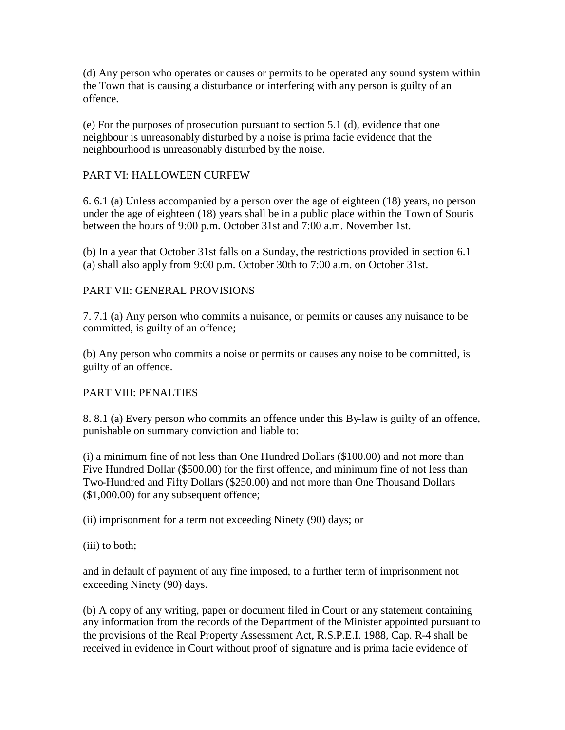(d) Any person who operates or causes or permits to be operated any sound system within the Town that is causing a disturbance or interfering with any person is guilty of an offence.

(e) For the purposes of prosecution pursuant to section 5.1 (d), evidence that one neighbour is unreasonably disturbed by a noise is prima facie evidence that the neighbourhood is unreasonably disturbed by the noise.

## PART VI: HALLOWEEN CURFEW

6. 6.1 (a) Unless accompanied by a person over the age of eighteen (18) years, no person under the age of eighteen (18) years shall be in a public place within the Town of Souris between the hours of 9:00 p.m. October 31st and 7:00 a.m. November 1st.

(b) In a year that October 31st falls on a Sunday, the restrictions provided in section 6.1 (a) shall also apply from 9:00 p.m. October 30th to 7:00 a.m. on October 31st.

#### PART VII: GENERAL PROVISIONS

7. 7.1 (a) Any person who commits a nuisance, or permits or causes any nuisance to be committed, is guilty of an offence;

(b) Any person who commits a noise or permits or causes any noise to be committed, is guilty of an offence.

#### PART VIII: PENALTIES

8. 8.1 (a) Every person who commits an offence under this By-law is guilty of an offence, punishable on summary conviction and liable to:

(i) a minimum fine of not less than One Hundred Dollars (\$100.00) and not more than Five Hundred Dollar (\$500.00) for the first offence, and minimum fine of not less than Two-Hundred and Fifty Dollars (\$250.00) and not more than One Thousand Dollars (\$1,000.00) for any subsequent offence;

(ii) imprisonment for a term not exceeding Ninety (90) days; or

(iii) to both;

and in default of payment of any fine imposed, to a further term of imprisonment not exceeding Ninety (90) days.

(b) A copy of any writing, paper or document filed in Court or any statement containing any information from the records of the Department of the Minister appointed pursuant to the provisions of the Real Property Assessment Act, R.S.P.E.I. 1988, Cap. R-4 shall be received in evidence in Court without proof of signature and is prima facie evidence of